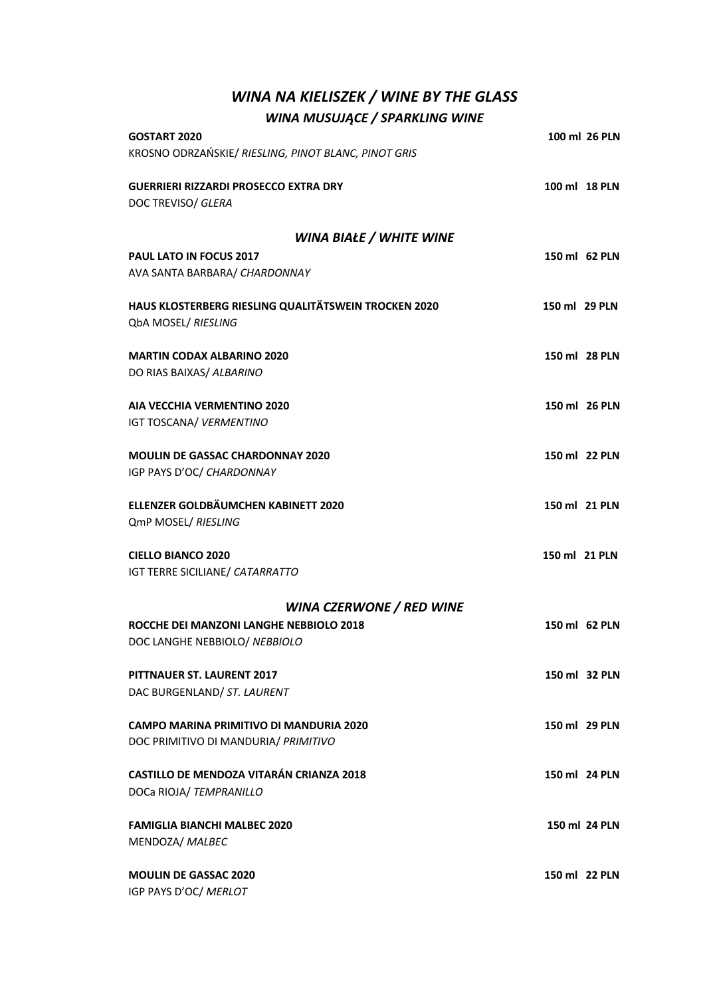## *WINA NA KIELISZEK / WINE BY THE GLASS WINA MUSUJĄCE / SPARKLING WINE*

| <b>GOSTART 2020</b>                                  |               | 100 ml 26 PLN |
|------------------------------------------------------|---------------|---------------|
| KROSNO ODRZAŃSKIE/ RIESLING, PINOT BLANC, PINOT GRIS |               |               |
| <b>GUERRIERI RIZZARDI PROSECCO EXTRA DRY</b>         | 100 ml 18 PLN |               |
| DOC TREVISO/ GLERA                                   |               |               |
| WINA BIAŁE / WHITE WINE                              |               |               |
| <b>PAUL LATO IN FOCUS 2017</b>                       | 150 ml 62 PLN |               |
| AVA SANTA BARBARA/ CHARDONNAY                        |               |               |
| HAUS KLOSTERBERG RIESLING QUALITÄTSWEIN TROCKEN 2020 | 150 ml 29 PLN |               |
| QbA MOSEL/ RIESLING                                  |               |               |
| <b>MARTIN CODAX ALBARINO 2020</b>                    | 150 ml 28 PLN |               |
| DO RIAS BAIXAS/ ALBARINO                             |               |               |
|                                                      |               |               |
| <b>AIA VECCHIA VERMENTINO 2020</b>                   | 150 ml 26 PLN |               |
| IGT TOSCANA/ VERMENTINO                              |               |               |
| <b>MOULIN DE GASSAC CHARDONNAY 2020</b>              | 150 ml 22 PLN |               |
| IGP PAYS D'OC/ CHARDONNAY                            |               |               |
| ELLENZER GOLDBÄUMCHEN KABINETT 2020                  | 150 ml 21 PLN |               |
| QmP MOSEL/ RIESLING                                  |               |               |
| <b>CIELLO BIANCO 2020</b>                            | 150 ml 21 PLN |               |
| IGT TERRE SICILIANE/ CATARRATTO                      |               |               |
| <b>WINA CZERWONE / RED WINE</b>                      |               |               |
| ROCCHE DEI MANZONI LANGHE NEBBIOLO 2018              | 150 ml 62 PLN |               |
| DOC LANGHE NEBBIOLO/ NEBBIOLO                        |               |               |
| <b>PITTNAUER ST. LAURENT 2017</b>                    | 150 ml 32 PLN |               |
| DAC BURGENLAND/ ST. LAURENT                          |               |               |
|                                                      |               |               |
| <b>CAMPO MARINA PRIMITIVO DI MANDURIA 2020</b>       | 150 ml 29 PLN |               |
| DOC PRIMITIVO DI MANDURIA/ PRIMITIVO                 |               |               |
| <b>CASTILLO DE MENDOZA VITARÁN CRIANZA 2018</b>      | 150 ml 24 PLN |               |
| DOCa RIOJA/ TEMPRANILLO                              |               |               |
| <b>FAMIGLIA BIANCHI MALBEC 2020</b>                  |               | 150 ml 24 PLN |
| MENDOZA/ MALBEC                                      |               |               |
| <b>MOULIN DE GASSAC 2020</b>                         | 150 ml 22 PLN |               |
| IGP PAYS D'OC/ MERLOT                                |               |               |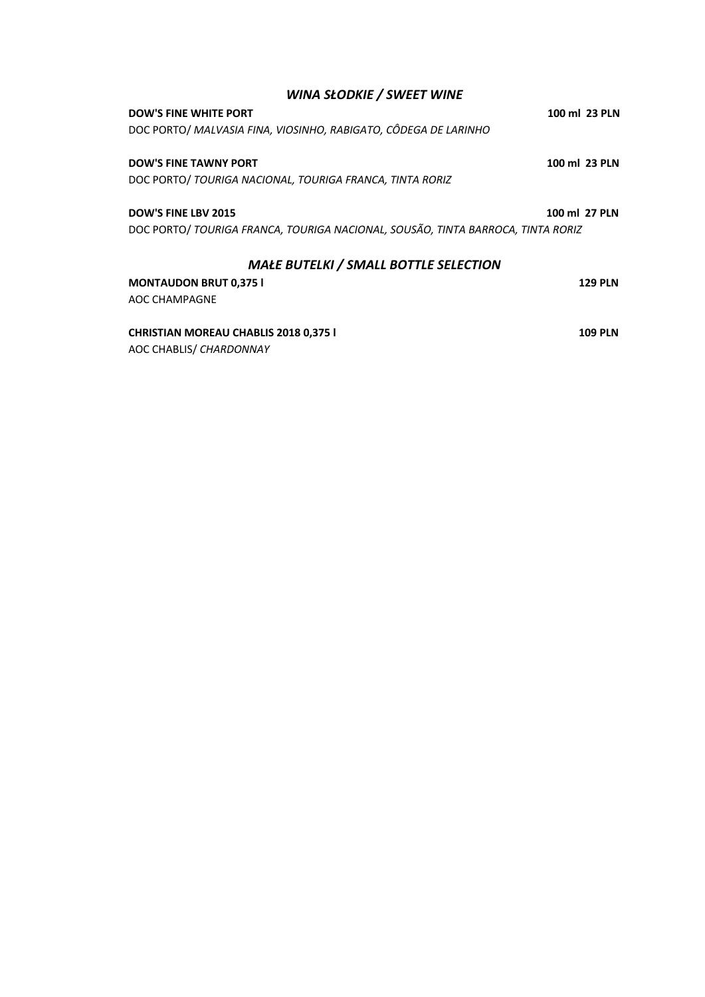| <b>WINA SŁODKIE / SWEET WINE</b>                                                |                |  |
|---------------------------------------------------------------------------------|----------------|--|
| <b>DOW'S FINE WHITE PORT</b>                                                    | 100 ml 23 PLN  |  |
| DOC PORTO/ MALVASIA FINA, VIOSINHO, RABIGATO, CÔDEGA DE LARINHO                 |                |  |
| <b>DOW'S FINE TAWNY PORT</b>                                                    | 100 ml 23 PLN  |  |
| DOC PORTO/ TOURIGA NACIONAL, TOURIGA FRANCA, TINTA RORIZ                        |                |  |
| <b>DOW'S FINE LBV 2015</b>                                                      | 100 ml 27 PLN  |  |
| DOC PORTO/ TOURIGA FRANCA, TOURIGA NACIONAL, SOUSÃO, TINTA BARROCA, TINTA RORIZ |                |  |
| <b>MAŁE BUTELKI / SMALL BOTTLE SELECTION</b>                                    |                |  |
| <b>MONTAUDON BRUT 0,375 I</b>                                                   | <b>129 PLN</b> |  |
| AOC CHAMPAGNE                                                                   |                |  |
| <b>CHRISTIAN MOREAU CHABLIS 2018 0,375 I</b>                                    | <b>109 PLN</b> |  |
| AOC CHABLIS/ CHARDONNAY                                                         |                |  |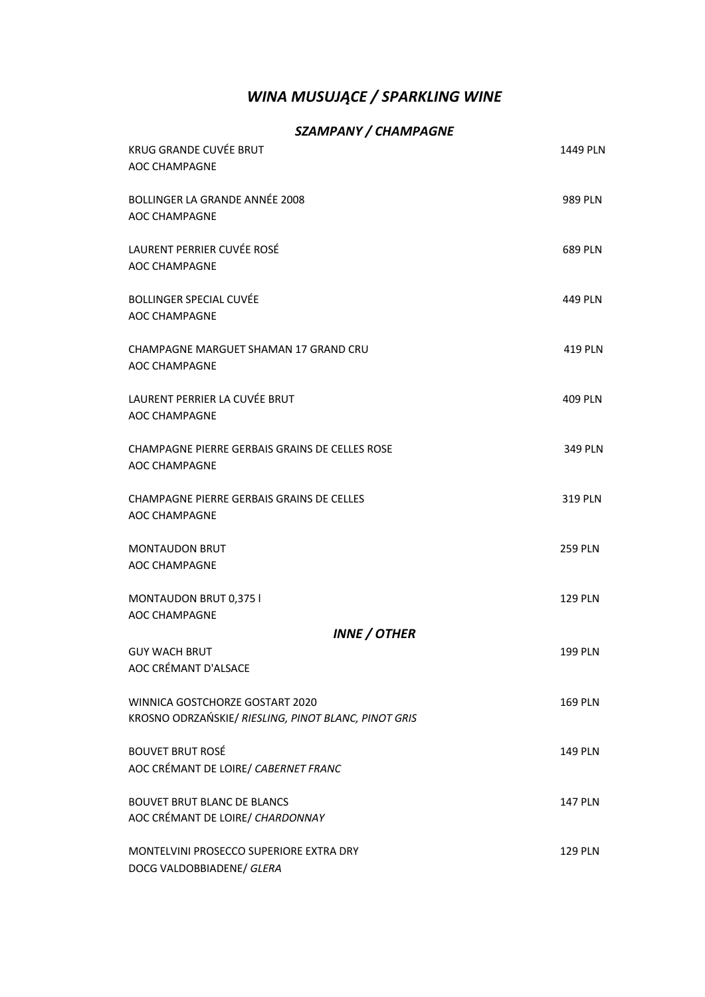## *WINA MUSUJĄCE / SPARKLING WINE*

### *SZAMPANY / CHAMPAGNE*

| KRUG GRANDE CUVÉE BRUT<br><b>AOC CHAMPAGNE</b>                                          | 1449 PLN       |
|-----------------------------------------------------------------------------------------|----------------|
| BOLLINGER LA GRANDE ANNÉE 2008<br><b>AOC CHAMPAGNE</b>                                  | 989 PLN        |
| LAURENT PERRIER CUVÉE ROSÉ<br><b>AOC CHAMPAGNE</b>                                      | 689 PLN        |
| <b>BOLLINGER SPECIAL CUVÉE</b><br><b>AOC CHAMPAGNE</b>                                  | 449 PLN        |
| CHAMPAGNE MARGUET SHAMAN 17 GRAND CRU<br>AOC CHAMPAGNE                                  | 419 PLN        |
| LAURENT PERRIER LA CUVÉE BRUT<br><b>AOC CHAMPAGNE</b>                                   | 409 PLN        |
| CHAMPAGNE PIERRE GERBAIS GRAINS DE CELLES ROSE<br>AOC CHAMPAGNE                         | 349 PLN        |
| <b>CHAMPAGNE PIERRE GERBAIS GRAINS DE CELLES</b><br><b>AOC CHAMPAGNE</b>                | 319 PLN        |
| <b>MONTAUDON BRUT</b><br>AOC CHAMPAGNE                                                  | <b>259 PLN</b> |
| MONTAUDON BRUT 0,375 I<br><b>AOC CHAMPAGNE</b>                                          | 129 PLN        |
| <b>INNE / OTHER</b>                                                                     |                |
| <b>GUY WACH BRUT</b><br>AOC CRÉMANT D'ALSACE                                            | <b>199 PLN</b> |
| WINNICA GOSTCHORZE GOSTART 2020<br>KROSNO ODRZAŃSKIE/ RIESLING, PINOT BLANC, PINOT GRIS | 169 PLN        |
| <b>BOUVET BRUT ROSÉ</b><br>AOC CRÉMANT DE LOIRE/ CABERNET FRANC                         | 149 PLN        |
| <b>BOUVET BRUT BLANC DE BLANCS</b><br>AOC CRÉMANT DE LOIRE/ CHARDONNAY                  | 147 PLN        |
| MONTELVINI PROSECCO SUPERIORE EXTRA DRY<br>DOCG VALDOBBIADENE/ GLERA                    | 129 PLN        |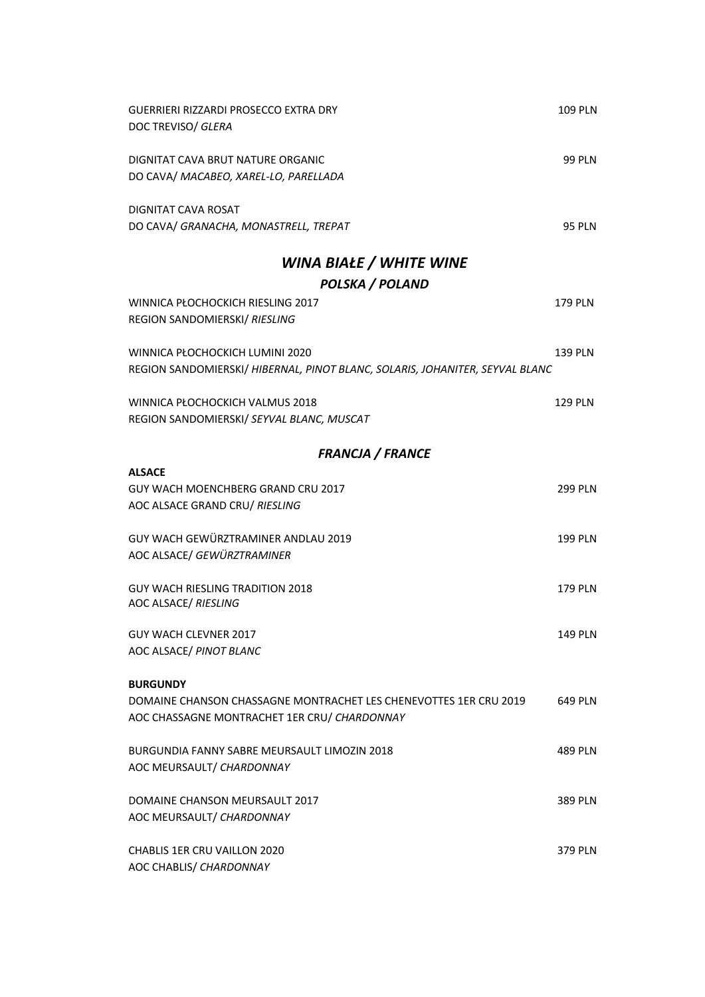| GUERRIERI RIZZARDI PROSECCO EXTRA DRY<br>DOC TREVISO/ GLERA                                                                          | <b>109 PLN</b> |
|--------------------------------------------------------------------------------------------------------------------------------------|----------------|
| DIGNITAT CAVA BRUT NATURE ORGANIC<br>DO CAVA/ MACABEO, XAREL-LO, PARELLADA                                                           | <b>99 PLN</b>  |
| DIGNITAT CAVA ROSAT<br>DO CAVA/ GRANACHA, MONASTRELL, TREPAT                                                                         | <b>95 PLN</b>  |
| WINA BIAŁE / WHITE WINE                                                                                                              |                |
| <b>POLSKA / POLAND</b>                                                                                                               |                |
| WINNICA PŁOCHOCKICH RIESLING 2017<br>REGION SANDOMIERSKI/ RIESLING                                                                   | 179 PLN        |
| WINNICA PŁOCHOCKICH LUMINI 2020<br>REGION SANDOMIERSKI/ HIBERNAL, PINOT BLANC, SOLARIS, JOHANITER, SEYVAL BLANC                      | 139 PLN        |
| WINNICA PŁOCHOCKICH VALMUS 2018<br>REGION SANDOMIERSKI/ SEYVAL BLANC, MUSCAT                                                         | <b>129 PLN</b> |
| <b>FRANCJA / FRANCE</b>                                                                                                              |                |
| <b>ALSACE</b>                                                                                                                        |                |
| GUY WACH MOENCHBERG GRAND CRU 2017<br>AOC ALSACE GRAND CRU/ RIESLING                                                                 | <b>299 PLN</b> |
| GUY WACH GEWÜRZTRAMINER ANDLAU 2019<br>AOC ALSACE/ GEWÜRZTRAMINER                                                                    | 199 PLN        |
| <b>GUY WACH RIESLING TRADITION 2018</b><br>AOC ALSACE/ RIESLING                                                                      | <b>179 PLN</b> |
| <b>GUY WACH CLEVNER 2017</b><br>AOC ALSACE/ PINOT BLANC                                                                              | <b>149 PLN</b> |
| <b>BURGUNDY</b><br>DOMAINE CHANSON CHASSAGNE MONTRACHET LES CHENEVOTTES 1ER CRU 2019<br>AOC CHASSAGNE MONTRACHET 1ER CRU/ CHARDONNAY | 649 PLN        |
| BURGUNDIA FANNY SABRE MEURSAULT LIMOZIN 2018<br>AOC MEURSAULT/ CHARDONNAY                                                            | <b>489 PLN</b> |
| DOMAINE CHANSON MEURSAULT 2017<br>AOC MEURSAULT/ CHARDONNAY                                                                          | <b>389 PLN</b> |
| <b>CHABLIS 1ER CRU VAILLON 2020</b><br>AOC CHABLIS/ CHARDONNAY                                                                       | 379 PLN        |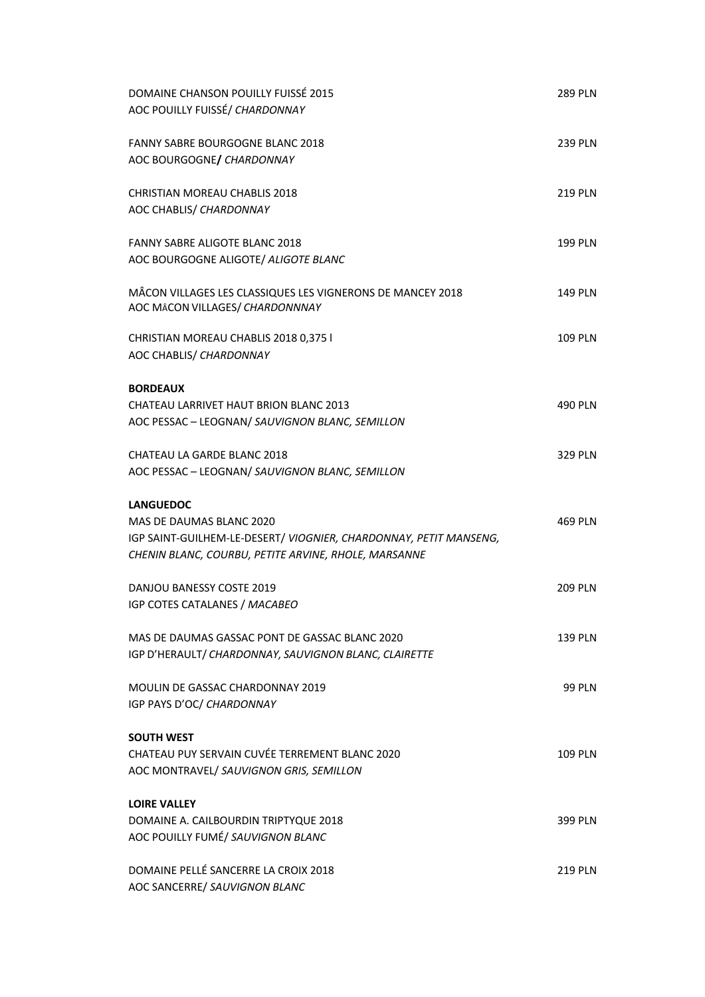| DOMAINE CHANSON POUILLY FUISSÉ 2015<br>AOC POUILLY FUISSÉ/ CHARDONNAY                                                                                 | <b>289 PLN</b> |
|-------------------------------------------------------------------------------------------------------------------------------------------------------|----------------|
| <b>FANNY SABRE BOURGOGNE BLANC 2018</b><br>AOC BOURGOGNE/ CHARDONNAY                                                                                  | <b>239 PLN</b> |
| <b>CHRISTIAN MOREAU CHABLIS 2018</b><br>AOC CHABLIS/ CHARDONNAY                                                                                       | <b>219 PLN</b> |
| <b>FANNY SABRE ALIGOTE BLANC 2018</b><br>AOC BOURGOGNE ALIGOTE/ ALIGOTE BLANC                                                                         | 199 PLN        |
| MÂCON VILLAGES LES CLASSIQUES LES VIGNERONS DE MANCEY 2018<br>AOC MÂCON VILLAGES/ CHARDONNNAY                                                         | 149 PLN        |
| CHRISTIAN MOREAU CHABLIS 2018 0,375 I<br>AOC CHABLIS/ CHARDONNAY                                                                                      | 109 PLN        |
| <b>BORDEAUX</b><br>CHATEAU LARRIVET HAUT BRION BLANC 2013<br>AOC PESSAC - LEOGNAN/ SAUVIGNON BLANC, SEMILLON                                          | <b>490 PLN</b> |
| CHATEAU LA GARDE BLANC 2018<br>AOC PESSAC - LEOGNAN/ SAUVIGNON BLANC, SEMILLON                                                                        | 329 PLN        |
| <b>LANGUEDOC</b>                                                                                                                                      |                |
| MAS DE DAUMAS BLANC 2020<br>IGP SAINT-GUILHEM-LE-DESERT/ VIOGNIER, CHARDONNAY, PETIT MANSENG,<br>CHENIN BLANC, COURBU, PETITE ARVINE, RHOLE, MARSANNE | 469 PLN        |
| DANJOU BANESSY COSTE 2019<br>IGP COTES CATALANES / MACABEO                                                                                            | <b>209 PLN</b> |
| MAS DE DAUMAS GASSAC PONT DE GASSAC BLANC 2020<br>IGP D'HERAULT/ CHARDONNAY, SAUVIGNON BLANC, CLAIRETTE                                               | 139 PLN        |
| MOULIN DE GASSAC CHARDONNAY 2019<br>IGP PAYS D'OC/ CHARDONNAY                                                                                         | <b>99 PLN</b>  |
| <b>SOUTH WEST</b><br>CHATEAU PUY SERVAIN CUVÉE TERREMENT BLANC 2020<br>AOC MONTRAVEL/ SAUVIGNON GRIS, SEMILLON                                        | 109 PLN        |
| <b>LOIRE VALLEY</b><br>DOMAINE A. CAILBOURDIN TRIPTYQUE 2018<br>AOC POUILLY FUMÉ/ SAUVIGNON BLANC                                                     | 399 PLN        |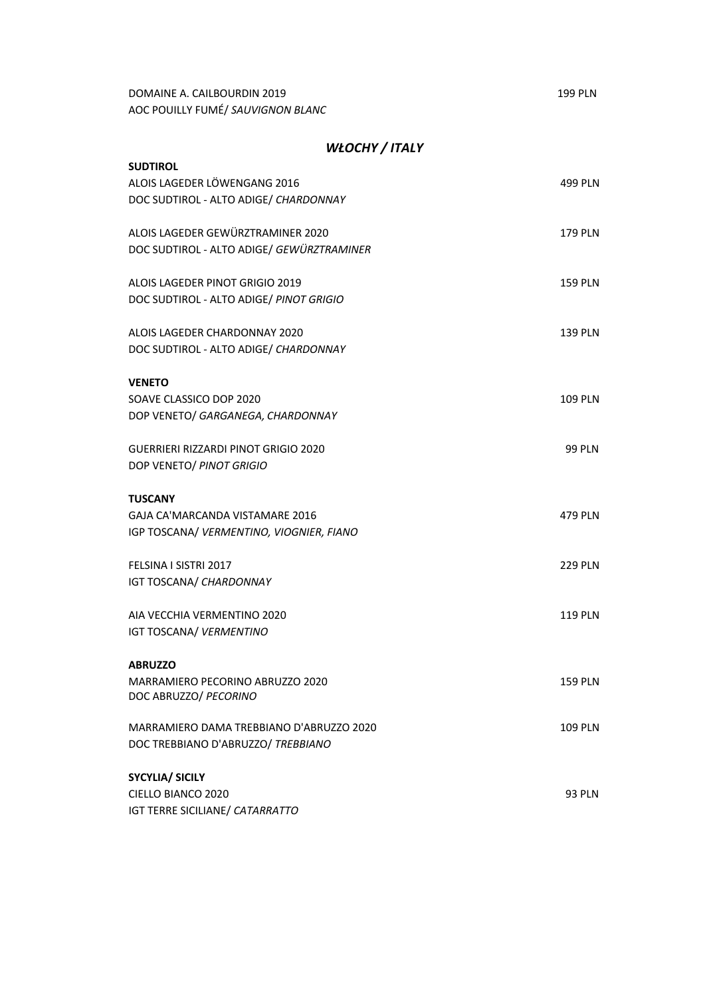| DOMAINE A. CAILBOURDIN 2019       | <b>199 PLN</b> |
|-----------------------------------|----------------|
| AOC POUILLY FUMÉ/ SAUVIGNON BLANC |                |

#### *WŁOCHY / ITALY*

| <b>SUDTIROL</b>                                       |                |
|-------------------------------------------------------|----------------|
| ALOIS LAGEDER LÖWENGANG 2016                          | 499 PLN        |
| DOC SUDTIROL - ALTO ADIGE/ CHARDONNAY                 |                |
|                                                       |                |
| ALOIS LAGEDER GEWÜRZTRAMINER 2020                     | 179 PLN        |
| DOC SUDTIROL - ALTO ADIGE/ GEWÜRZTRAMINER             |                |
|                                                       |                |
| ALOIS LAGEDER PINOT GRIGIO 2019                       | <b>159 PLN</b> |
| DOC SUDTIROL - ALTO ADIGE/ PINOT GRIGIO               |                |
|                                                       |                |
| ALOIS LAGEDER CHARDONNAY 2020                         | 139 PLN        |
| DOC SUDTIROL - ALTO ADIGE/ CHARDONNAY                 |                |
|                                                       |                |
| <b>VENETO</b>                                         |                |
| SOAVE CLASSICO DOP 2020                               | <b>109 PLN</b> |
| DOP VENETO/ GARGANEGA, CHARDONNAY                     |                |
|                                                       |                |
| GUERRIERI RIZZARDI PINOT GRIGIO 2020                  | <b>99 PLN</b>  |
| DOP VENETO/ PINOT GRIGIO                              |                |
|                                                       |                |
| <b>TUSCANY</b>                                        |                |
| GAJA CA'MARCANDA VISTAMARE 2016                       |                |
|                                                       | <b>479 PLN</b> |
| IGP TOSCANA/ VERMENTINO, VIOGNIER, FIANO              |                |
|                                                       |                |
| FELSINA I SISTRI 2017                                 | <b>229 PLN</b> |
| IGT TOSCANA/ CHARDONNAY                               |                |
|                                                       |                |
| AIA VECCHIA VERMENTINO 2020                           | <b>119 PLN</b> |
| IGT TOSCANA/ VERMENTINO                               |                |
|                                                       |                |
| <b>ABRUZZO</b>                                        |                |
| MARRAMIERO PECORINO ABRUZZO 2020                      | <b>159 PLN</b> |
| DOC ABRUZZO/ PECORINO                                 |                |
|                                                       |                |
| MARRAMIERO DAMA TREBBIANO D'ABRUZZO 2020              | <b>109 PLN</b> |
| DOC TREBBIANO D'ABRUZZO/ TREBBIANO                    |                |
|                                                       |                |
| <b>SYCYLIA/ SICILY</b>                                |                |
| CIELLO BIANCO 2020<br>IGT TERRE SICILIANE/ CATARRATTO | 93 PLN         |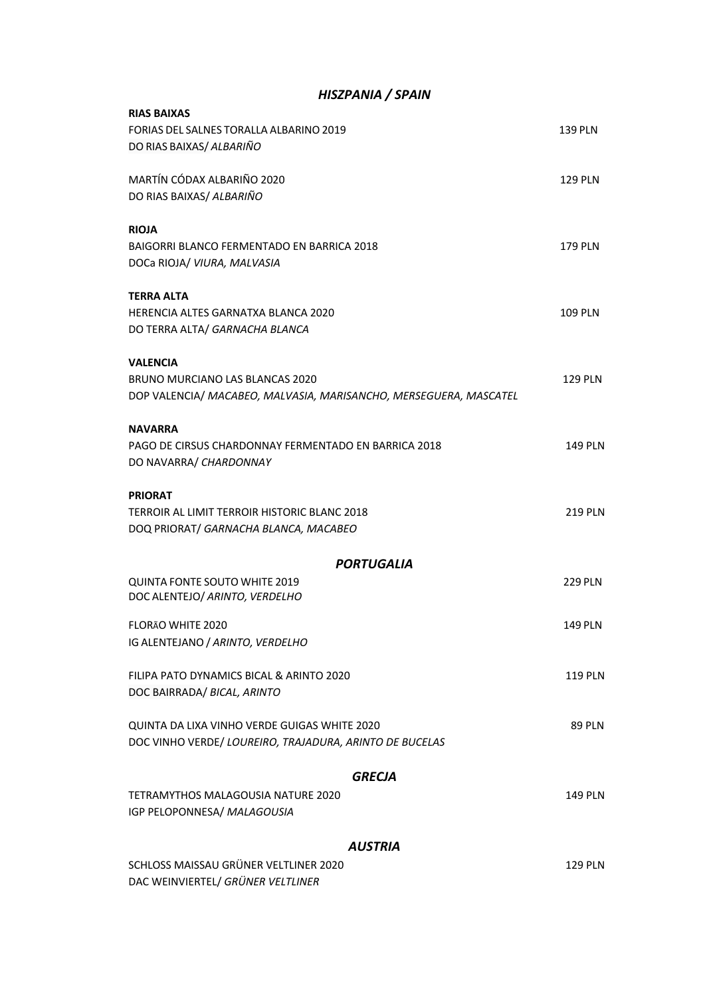| HISZPANIA / SPAIN                                                 |                |
|-------------------------------------------------------------------|----------------|
| <b>RIAS BAIXAS</b>                                                |                |
| FORIAS DEL SALNES TORALLA ALBARINO 2019                           | <b>139 PLN</b> |
| DO RIAS BAIXAS/ ALBARIÑO                                          |                |
| MARTÍN CÓDAX ALBARIÑO 2020                                        | <b>129 PLN</b> |
| DO RIAS BAIXAS/ ALBARIÑO                                          |                |
| <b>RIOJA</b>                                                      |                |
| BAIGORRI BLANCO FERMENTADO EN BARRICA 2018                        | 179 PLN        |
| DOCa RIOJA/ VIURA, MALVASIA                                       |                |
| <b>TERRA ALTA</b>                                                 |                |
| HERENCIA ALTES GARNATXA BLANCA 2020                               | <b>109 PLN</b> |
| DO TERRA ALTA/ GARNACHA BLANCA                                    |                |
| <b>VALENCIA</b>                                                   |                |
| BRUNO MURCIANO LAS BLANCAS 2020                                   | <b>129 PLN</b> |
| DOP VALENCIA/ MACABEO, MALVASIA, MARISANCHO, MERSEGUERA, MASCATEL |                |
| <b>NAVARRA</b>                                                    |                |
| PAGO DE CIRSUS CHARDONNAY FERMENTADO EN BARRICA 2018              | <b>149 PLN</b> |
| DO NAVARRA/ CHARDONNAY                                            |                |
| <b>PRIORAT</b>                                                    |                |
| TERROIR AL LIMIT TERROIR HISTORIC BLANC 2018                      | <b>219 PLN</b> |
| DOQ PRIORAT/ GARNACHA BLANCA, MACABEO                             |                |
| <b>PORTUGALIA</b>                                                 |                |
| QUINTA FONTE SOUTO WHITE 2019                                     | <b>229 PLN</b> |
| DOC ALENTEJO/ ARINTO, VERDELHO                                    |                |
| FLORÃO WHITE 2020                                                 | <b>149 PLN</b> |
| IG ALENTEJANO / ARINTO, VERDELHO                                  |                |
| FILIPA PATO DYNAMICS BICAL & ARINTO 2020                          | <b>119 PLN</b> |
| DOC BAIRRADA/ BICAL, ARINTO                                       |                |
| QUINTA DA LIXA VINHO VERDE GUIGAS WHITE 2020                      | <b>89 PLN</b>  |
| DOC VINHO VERDE/ LOUREIRO, TRAJADURA, ARINTO DE BUCELAS           |                |
| <b>GRECJA</b>                                                     |                |
| TETRAMYTHOS MALAGOUSIA NATURE 2020                                | <b>149 PLN</b> |
| IGP PELOPONNESA/ MALAGOUSIA                                       |                |
| <b>AUSTRIA</b>                                                    |                |
| SCHLOSS MAISSAU GRÜNER VELTLINER 2020                             | <b>129 PLN</b> |
| DAC WEINVIERTEL/ GRÜNER VELTLINER                                 |                |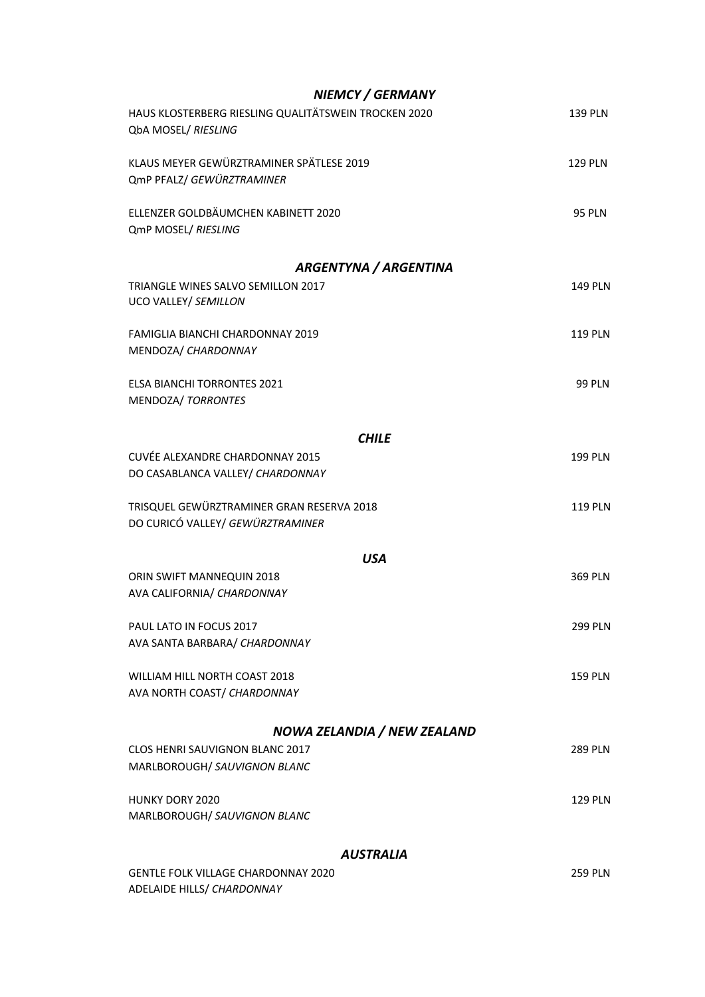| <b>NIEMCY / GERMANY</b>                                                       |                |
|-------------------------------------------------------------------------------|----------------|
| HAUS KLOSTERBERG RIESLING QUALITÄTSWEIN TROCKEN 2020<br>QbA MOSEL/ RIESLING   | 139 PLN        |
| KLAUS MEYER GEWÜRZTRAMINER SPÄTLESE 2019<br>QmP PFALZ/ GEWÜRZTRAMINER         | <b>129 PLN</b> |
| ELLENZER GOLDBÄUMCHEN KABINETT 2020<br>QmP MOSEL/ RIESLING                    | <b>95 PLN</b>  |
| ARGENTYNA / ARGENTINA                                                         |                |
| TRIANGLE WINES SALVO SEMILLON 2017<br>UCO VALLEY/ SEMILLON                    | <b>149 PLN</b> |
| <b>FAMIGLIA BIANCHI CHARDONNAY 2019</b><br>MENDOZA/ CHARDONNAY                | <b>119 PLN</b> |
| <b>ELSA BIANCHI TORRONTES 2021</b><br>MENDOZA/ TORRONTES                      | <b>99 PLN</b>  |
| <b>CHILE</b>                                                                  |                |
| CUVÉE ALEXANDRE CHARDONNAY 2015                                               | <b>199 PLN</b> |
| DO CASABLANCA VALLEY/ CHARDONNAY                                              |                |
| TRISQUEL GEWÜRZTRAMINER GRAN RESERVA 2018<br>DO CURICÓ VALLEY/ GEWÜRZTRAMINER | <b>119 PLN</b> |
| <b>USA</b>                                                                    |                |
| ORIN SWIFT MANNEQUIN 2018<br>AVA CALIFORNIA/ CHARDONNAY                       | 369 PLN        |
| PAUL LATO IN FOCUS 2017                                                       | <b>299 PLN</b> |
| AVA SANTA BARBARA/ CHARDONNAY                                                 |                |
| WILLIAM HILL NORTH COAST 2018<br>AVA NORTH COAST/ CHARDONNAY                  | <b>159 PLN</b> |
| NOWA ZELANDIA / NEW ZEALAND                                                   |                |
| <b>CLOS HENRI SAUVIGNON BLANC 2017</b>                                        | <b>289 PLN</b> |
| MARLBOROUGH/ SAUVIGNON BLANC                                                  |                |
| <b>HUNKY DORY 2020</b>                                                        | <b>129 PLN</b> |
| MARLBOROUGH/ SAUVIGNON BLANC                                                  |                |
| <b>AUSTRALIA</b>                                                              |                |
| <b>GENTLE FOLK VILLAGE CHARDONNAY 2020</b>                                    | <b>259 PLN</b> |
| ADELAIDE HILLS/ CHARDONNAY                                                    |                |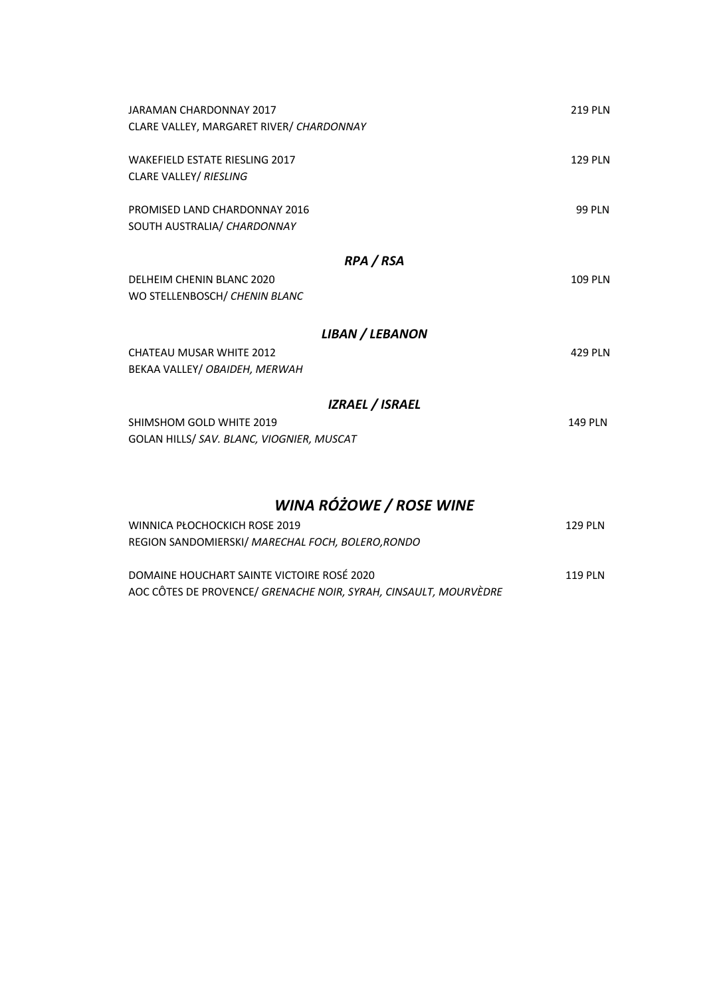| JARAMAN CHARDONNAY 2017                   | 219 PLN        |
|-------------------------------------------|----------------|
| CLARE VALLEY, MARGARET RIVER/ CHARDONNAY  |                |
| <b>WAKEFIELD ESTATE RIESLING 2017</b>     | 129 PIN        |
| CLARE VALLEY/ RIESLING                    |                |
| PROMISED LAND CHARDONNAY 2016             | <b>99 PLN</b>  |
| SOUTH AUSTRALIA/ CHARDONNAY               |                |
| RPA / RSA                                 |                |
| DELHEIM CHENIN BLANC 2020                 | <b>109 PLN</b> |
| WO STELLENBOSCH/ CHENIN BLANC             |                |
| LIBAN / LEBANON                           |                |
| <b>CHATEAU MUSAR WHITE 2012</b>           | 429 PIN        |
| BEKAA VALLEY/ OBAIDEH, MERWAH             |                |
| <b>IZRAEL / ISRAEL</b>                    |                |
| SHIMSHOM GOLD WHITE 2019                  | 149 PIN        |
| GOLAN HILLS/ SAV. BLANC, VIOGNIER, MUSCAT |                |

# *WINA RÓŻOWE / ROSE WINE*

| WINNICA PŁOCHOCKICH ROSE 2019                                    | 129 PI N |
|------------------------------------------------------------------|----------|
| REGION SANDOMIERSKI/ MARECHAL FOCH, BOLERO, RONDO                |          |
|                                                                  |          |
| DOMAINE HOUCHART SAINTE VICTOIRE ROSÉ 2020                       | 119 PI N |
| AOC CÔTES DE PROVENCE/ GRENACHE NOIR, SYRAH, CINSAULT, MOURVÈDRE |          |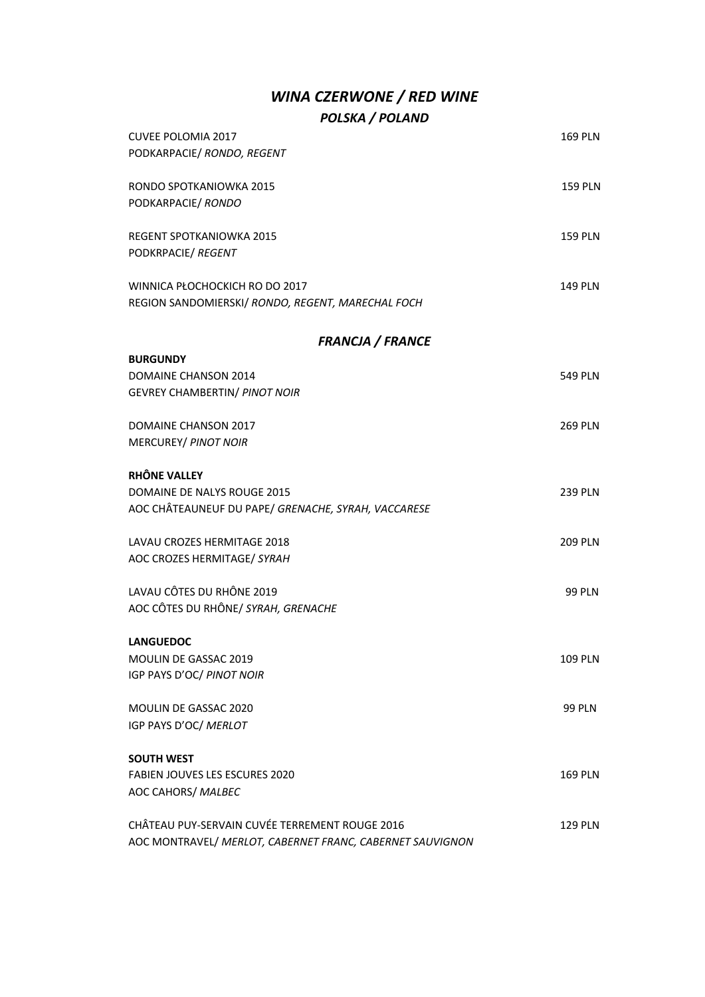## *WINA CZERWONE / RED WINE POLSKA / POLAND*

| <b>CUVEE POLOMIA 2017</b>                           | <b>169 PLN</b> |
|-----------------------------------------------------|----------------|
| PODKARPACIE/ RONDO, REGENT                          |                |
| RONDO SPOTKANIOWKA 2015                             | <b>159 PLN</b> |
| PODKARPACIE/ RONDO                                  |                |
| REGENT SPOTKANIOWKA 2015                            | <b>159 PLN</b> |
| PODKRPACIE/ REGENT                                  |                |
| WINNICA PŁOCHOCKICH RO DO 2017                      | <b>149 PLN</b> |
| REGION SANDOMIERSKI/ RONDO, REGENT, MARECHAL FOCH   |                |
| <b>FRANCJA / FRANCE</b>                             |                |
| <b>BURGUNDY</b>                                     |                |
| <b>DOMAINE CHANSON 2014</b>                         | <b>549 PLN</b> |
| GEVREY CHAMBERTIN/ PINOT NOIR                       |                |
| <b>DOMAINE CHANSON 2017</b>                         | <b>269 PLN</b> |
| MERCUREY/ PINOT NOIR                                |                |
| RHÔNE VALLEY                                        |                |
| DOMAINE DE NALYS ROUGE 2015                         | <b>239 PLN</b> |
| AOC CHÂTEAUNEUF DU PAPE/ GRENACHE, SYRAH, VACCARESE |                |
| LAVAU CROZES HERMITAGE 2018                         | <b>209 PLN</b> |
| AOC CROZES HERMITAGE/ SYRAH                         |                |
| LAVAU CÔTES DU RHÔNE 2019                           | <b>99 PLN</b>  |
| AOC CÔTES DU RHÔNE/ SYRAH, GRENACHE                 |                |
| <b>LANGUEDOC</b>                                    |                |
| MOULIN DE GASSAC 2019                               | <b>109 PLN</b> |
| IGP PAYS D'OC/ PINOT NOIR                           |                |
| MOULIN DE GASSAC 2020                               | <b>99 PLN</b>  |
| IGP PAYS D'OC/ MERLOT                               |                |
| <b>SOUTH WEST</b>                                   |                |
| FABIEN JOUVES LES ESCURES 2020                      | <b>169 PLN</b> |
| AOC CAHORS/ MALBEC                                  |                |
| CHÂTEAU PUY-SERVAIN CUVÉE TERREMENT ROUGE 2016      | <b>129 PLN</b> |

AOC MONTRAVEL/ *MERLOT, CABERNET FRANC, CABERNET SAUVIGNON*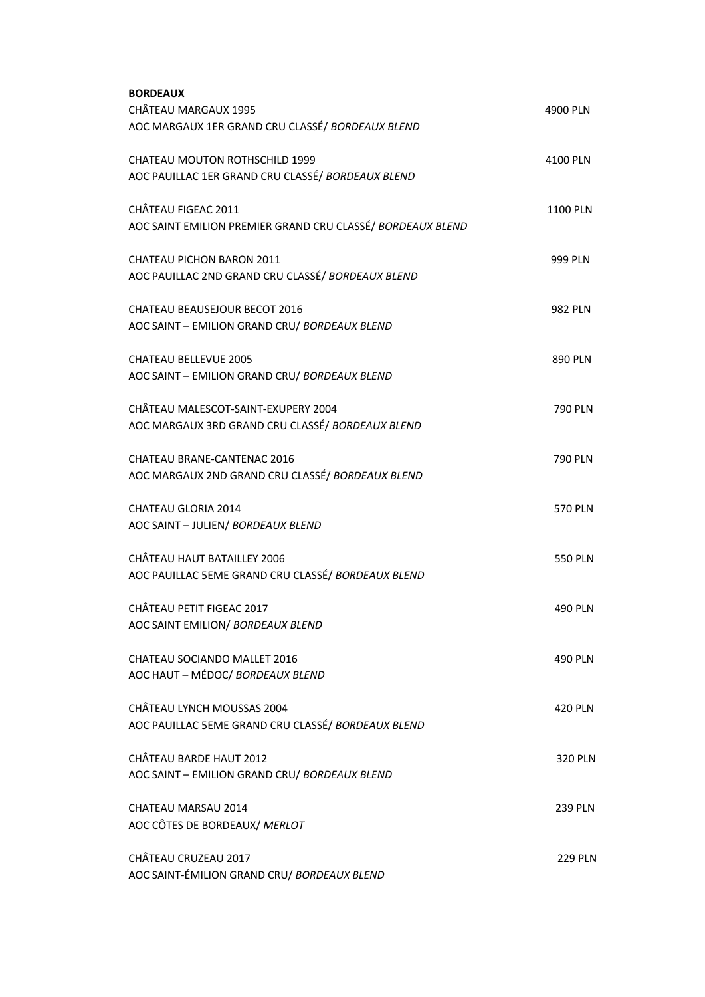| <b>BORDEAUX</b>                                            |                |
|------------------------------------------------------------|----------------|
| CHÂTEAU MARGAUX 1995                                       | 4900 PLN       |
| AOC MARGAUX 1ER GRAND CRU CLASSÉ/ BORDEAUX BLEND           |                |
| <b>CHATEAU MOUTON ROTHSCHILD 1999</b>                      | 4100 PLN       |
| AOC PAUILLAC 1ER GRAND CRU CLASSÉ/ BORDEAUX BLEND          |                |
| CHÂTEAU FIGEAC 2011                                        | 1100 PLN       |
| AOC SAINT EMILION PREMIER GRAND CRU CLASSÉ/ BORDEAUX BLEND |                |
| <b>CHATEAU PICHON BARON 2011</b>                           | <b>999 PLN</b> |
| AOC PAUILLAC 2ND GRAND CRU CLASSÉ/ BORDEAUX BLEND          |                |
| <b>CHATEAU BEAUSEJOUR BECOT 2016</b>                       | <b>982 PLN</b> |
| AOC SAINT - EMILION GRAND CRU/ BORDEAUX BLEND              |                |
| <b>CHATEAU BELLEVUE 2005</b>                               | 890 PLN        |
| AOC SAINT - EMILION GRAND CRU/ BORDEAUX BLEND              |                |
| CHÂTEAU MALESCOT-SAINT-EXUPERY 2004                        | <b>790 PLN</b> |
| AOC MARGAUX 3RD GRAND CRU CLASSÉ/ BORDEAUX BLEND           |                |
| <b>CHATEAU BRANE-CANTENAC 2016</b>                         | <b>790 PLN</b> |
| AOC MARGAUX 2ND GRAND CRU CLASSÉ / BORDEAUX BLEND          |                |
| <b>CHATEAU GLORIA 2014</b>                                 | <b>570 PLN</b> |
| AOC SAINT - JULIEN/ BORDEAUX BLEND                         |                |
| CHÂTEAU HAUT BATAILLEY 2006                                | <b>550 PLN</b> |
| AOC PAUILLAC 5EME GRAND CRU CLASSÉ/ BORDEAUX BLEND         |                |
| CHÂTEAU PETIT FIGEAC 2017                                  | <b>490 PLN</b> |
| AOC SAINT EMILION/ BORDEAUX BLEND                          |                |
| CHATEAU SOCIANDO MALLET 2016                               | <b>490 PLN</b> |
| AOC HAUT - MÉDOC/ BORDEAUX BLEND                           |                |
| CHÂTEAU LYNCH MOUSSAS 2004                                 | <b>420 PLN</b> |
| AOC PAUILLAC 5EME GRAND CRU CLASSÉ/ BORDEAUX BLEND         |                |
| CHÂTEAU BARDE HAUT 2012                                    | <b>320 PLN</b> |
| AOC SAINT - EMILION GRAND CRU/ BORDEAUX BLEND              |                |
| CHATEAU MARSAU 2014                                        | <b>239 PLN</b> |
| AOC CÔTES DE BORDEAUX/ MERLOT                              |                |
| CHÂTEAU CRUZEAU 2017                                       | <b>229 PLN</b> |
| AOC SAINT-ÉMILION GRAND CRU/ BORDEAUX BLEND                |                |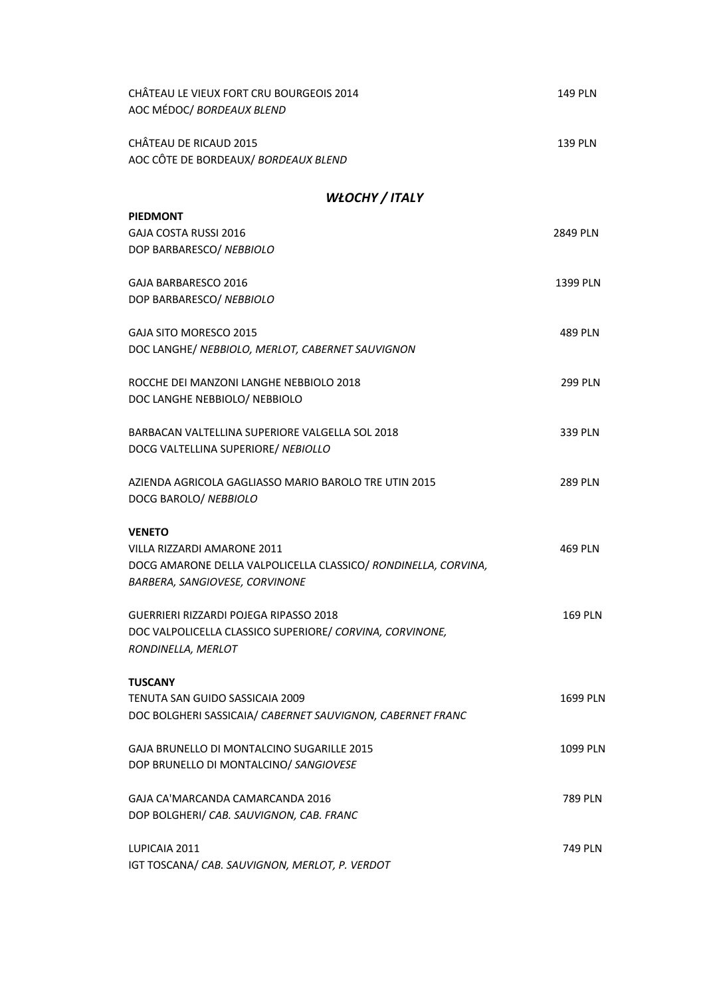| CHÂTEAU LE VIEUX FORT CRU BOURGEOIS 2014<br>AOC MÉDOC/ BORDEAUX BLEND                                                           | <b>149 PLN</b> |
|---------------------------------------------------------------------------------------------------------------------------------|----------------|
| CHÂTEAU DE RICAUD 2015<br>AOC CÔTE DE BORDEAUX/ BORDEAUX BLEND                                                                  | <b>139 PLN</b> |
| WŁOCHY / ITALY                                                                                                                  |                |
| <b>PIEDMONT</b>                                                                                                                 |                |
| <b>GAJA COSTA RUSSI 2016</b><br>DOP BARBARESCO/ NEBBIOLO                                                                        | 2849 PLN       |
| GAJA BARBARESCO 2016<br>DOP BARBARESCO/ NEBBIOLO                                                                                | 1399 PLN       |
| <b>GAJA SITO MORESCO 2015</b><br>DOC LANGHE/ NEBBIOLO, MERLOT, CABERNET SAUVIGNON                                               | 489 PLN        |
| ROCCHE DEI MANZONI LANGHE NEBBIOLO 2018<br>DOC LANGHE NEBBIOLO/ NEBBIOLO                                                        | 299 PLN        |
| BARBACAN VALTELLINA SUPERIORE VALGELLA SOL 2018<br>DOCG VALTELLINA SUPERIORE/ NEBIOLLO                                          | 339 PLN        |
| AZIENDA AGRICOLA GAGLIASSO MARIO BAROLO TRE UTIN 2015<br>DOCG BAROLO/ NEBBIOLO                                                  | 289 PLN        |
| <b>VENETO</b>                                                                                                                   |                |
| VILLA RIZZARDI AMARONE 2011<br>DOCG AMARONE DELLA VALPOLICELLA CLASSICO/ RONDINELLA, CORVINA,<br>BARBERA, SANGIOVESE, CORVINONE | 469 PLN        |
| GUERRIERI RIZZARDI POJEGA RIPASSO 2018<br>DOC VALPOLICELLA CLASSICO SUPERIORE/ CORVINA, CORVINONE,<br>RONDINELLA, MERLOT        | 169 PLN        |
| <b>TUSCANY</b>                                                                                                                  |                |
| TENUTA SAN GUIDO SASSICAIA 2009<br>DOC BOLGHERI SASSICAIA/ CABERNET SAUVIGNON, CABERNET FRANC                                   | 1699 PLN       |
| GAJA BRUNELLO DI MONTALCINO SUGARILLE 2015<br>DOP BRUNELLO DI MONTALCINO/ SANGIOVESE                                            | 1099 PLN       |
| GAJA CA'MARCANDA CAMARCANDA 2016<br>DOP BOLGHERI/ CAB. SAUVIGNON, CAB. FRANC                                                    | 789 PLN        |
| LUPICAIA 2011<br>IGT TOSCANA/ CAB. SAUVIGNON, MERLOT, P. VERDOT                                                                 | 749 PLN        |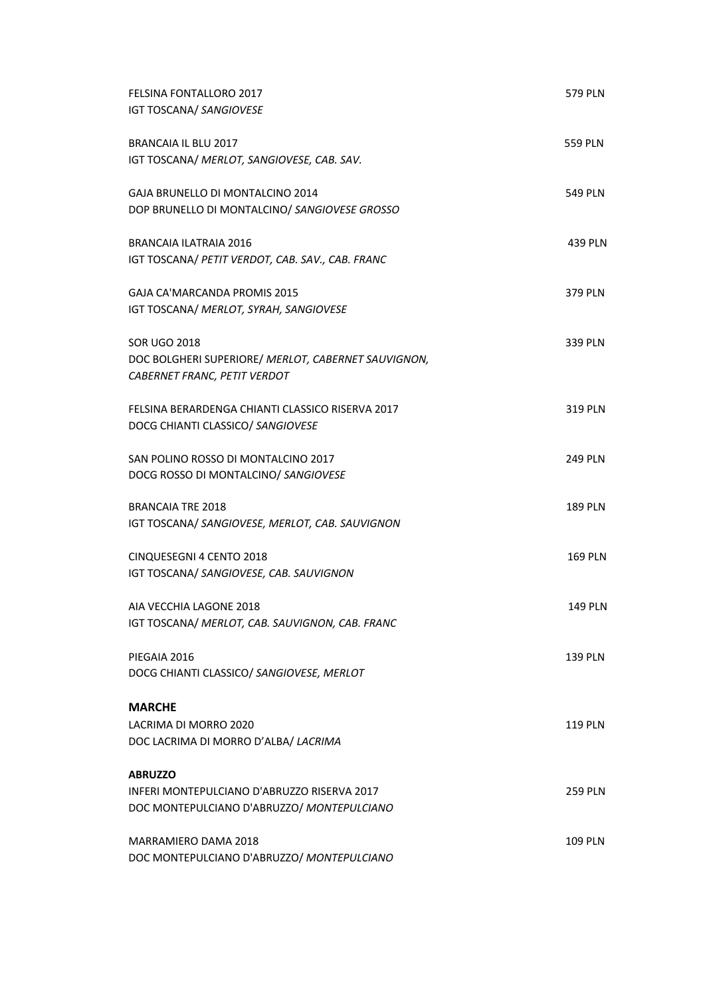| <b>FELSINA FONTALLORO 2017</b><br><b>IGT TOSCANA/ SANGIOVESE</b>                      | <b>579 PLN</b> |
|---------------------------------------------------------------------------------------|----------------|
| BRANCAIA IL BLU 2017<br>IGT TOSCANA/ MERLOT, SANGIOVESE, CAB. SAV.                    | <b>559 PLN</b> |
| GAJA BRUNELLO DI MONTALCINO 2014                                                      | <b>549 PLN</b> |
| DOP BRUNELLO DI MONTALCINO/ SANGIOVESE GROSSO                                         |                |
| <b>BRANCAIA ILATRAIA 2016</b><br>IGT TOSCANA/ PETIT VERDOT, CAB. SAV., CAB. FRANC     | 439 PLN        |
| GAJA CA'MARCANDA PROMIS 2015<br>IGT TOSCANA/ MERLOT, SYRAH, SANGIOVESE                | 379 PLN        |
| <b>SOR UGO 2018</b><br>DOC BOLGHERI SUPERIORE/ MERLOT, CABERNET SAUVIGNON,            | 339 PLN        |
| CABERNET FRANC, PETIT VERDOT                                                          |                |
| FELSINA BERARDENGA CHIANTI CLASSICO RISERVA 2017<br>DOCG CHIANTI CLASSICO/ SANGIOVESE | 319 PLN        |
| SAN POLINO ROSSO DI MONTALCINO 2017<br>DOCG ROSSO DI MONTALCINO/ SANGIOVESE           | <b>249 PLN</b> |
| <b>BRANCAIA TRE 2018</b>                                                              | <b>189 PLN</b> |
| IGT TOSCANA/ SANGIOVESE, MERLOT, CAB. SAUVIGNON                                       |                |
| CINQUESEGNI 4 CENTO 2018<br>IGT TOSCANA/ SANGIOVESE, CAB. SAUVIGNON                   | <b>169 PLN</b> |
| AIA VECCHIA LAGONE 2018<br>IGT TOSCANA/ MERLOT, CAB. SAUVIGNON, CAB. FRANC            | <b>149 PLN</b> |
| PIEGAIA 2016<br>DOCG CHIANTI CLASSICO/ SANGIOVESE, MERLOT                             | 139 PLN        |
| <b>MARCHE</b>                                                                         |                |
| LACRIMA DI MORRO 2020<br>DOC LACRIMA DI MORRO D'ALBA/ LACRIMA                         | <b>119 PLN</b> |
| <b>ABRUZZO</b><br>INFERI MONTEPULCIANO D'ABRUZZO RISERVA 2017                         |                |
| DOC MONTEPULCIANO D'ABRUZZO/ MONTEPULCIANO                                            | <b>259 PLN</b> |
| MARRAMIERO DAMA 2018<br>DOC MONTEPULCIANO D'ABRUZZO/ MONTEPULCIANO                    | <b>109 PLN</b> |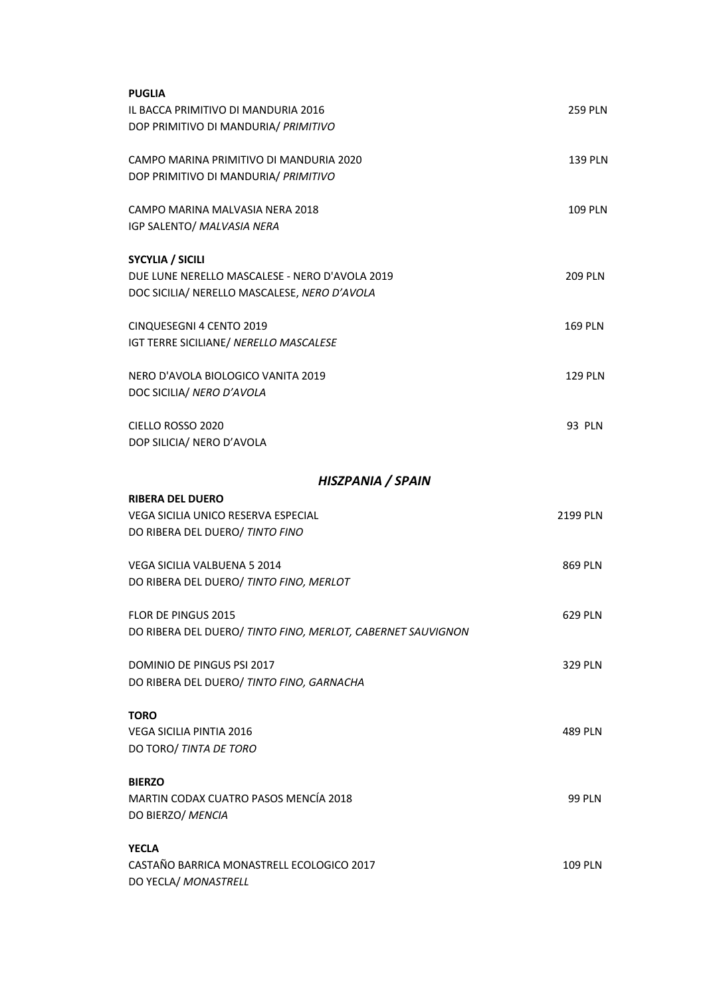| <b>PUGLIA</b>                                               |                |
|-------------------------------------------------------------|----------------|
| IL BACCA PRIMITIVO DI MANDURIA 2016                         | <b>259 PLN</b> |
| DOP PRIMITIVO DI MANDURIA/ PRIMITIVO                        |                |
|                                                             |                |
| CAMPO MARINA PRIMITIVO DI MANDURIA 2020                     | <b>139 PLN</b> |
| DOP PRIMITIVO DI MANDURIA/ PRIMITIVO                        |                |
| CAMPO MARINA MALVASIA NERA 2018                             | <b>109 PLN</b> |
| IGP SALENTO/ MALVASIA NERA                                  |                |
|                                                             |                |
| <b>SYCYLIA / SICILI</b>                                     |                |
| DUE LUNE NERELLO MASCALESE - NERO D'AVOLA 2019              | <b>209 PLN</b> |
| DOC SICILIA/ NERELLO MASCALESE, NERO D'AVOLA                |                |
|                                                             |                |
| CINQUESEGNI 4 CENTO 2019                                    | <b>169 PLN</b> |
| IGT TERRE SICILIANE/ NERELLO MASCALESE                      |                |
|                                                             |                |
| NERO D'AVOLA BIOLOGICO VANITA 2019                          | <b>129 PLN</b> |
| DOC SICILIA/ NERO D'AVOLA                                   |                |
|                                                             |                |
| CIELLO ROSSO 2020                                           | 93 PLN         |
| DOP SILICIA/ NERO D'AVOLA                                   |                |
|                                                             |                |
| HISZPANIA / SPAIN                                           |                |
| <b>RIBERA DEL DUERO</b>                                     |                |
| VEGA SICILIA UNICO RESERVA ESPECIAL                         | 2199 PLN       |
| DO RIBERA DEL DUERO/ TINTO FINO                             |                |
|                                                             |                |
| <b>VEGA SICILIA VALBUENA 5 2014</b>                         | 869 PLN        |
| DO RIBERA DEL DUERO/ TINTO FINO, MERLOT                     |                |
| FLOR DE PINGUS 2015                                         | 629 PLN        |
| DO RIBERA DEL DUERO/ TINTO FINO, MERLOT, CABERNET SAUVIGNON |                |
|                                                             |                |
| DOMINIO DE PINGUS PSI 2017                                  | <b>329 PLN</b> |
| DO RIBERA DEL DUERO/ TINTO FINO, GARNACHA                   |                |
|                                                             |                |
| <b>TORO</b>                                                 |                |
| <b>VEGA SICILIA PINTIA 2016</b>                             | <b>489 PLN</b> |
| DO TORO/ TINTA DE TORO                                      |                |
|                                                             |                |
| <b>BIERZO</b>                                               |                |
| MARTIN CODAX CUATRO PASOS MENCÍA 2018                       | <b>99 PLN</b>  |
| DO BIERZO/ MENCIA                                           |                |
| <b>YECLA</b>                                                |                |
| CASTAÑO BARRICA MONASTRELL ECOLOGICO 2017                   | <b>109 PLN</b> |
| DO YECLA/ MONASTRELL                                        |                |
|                                                             |                |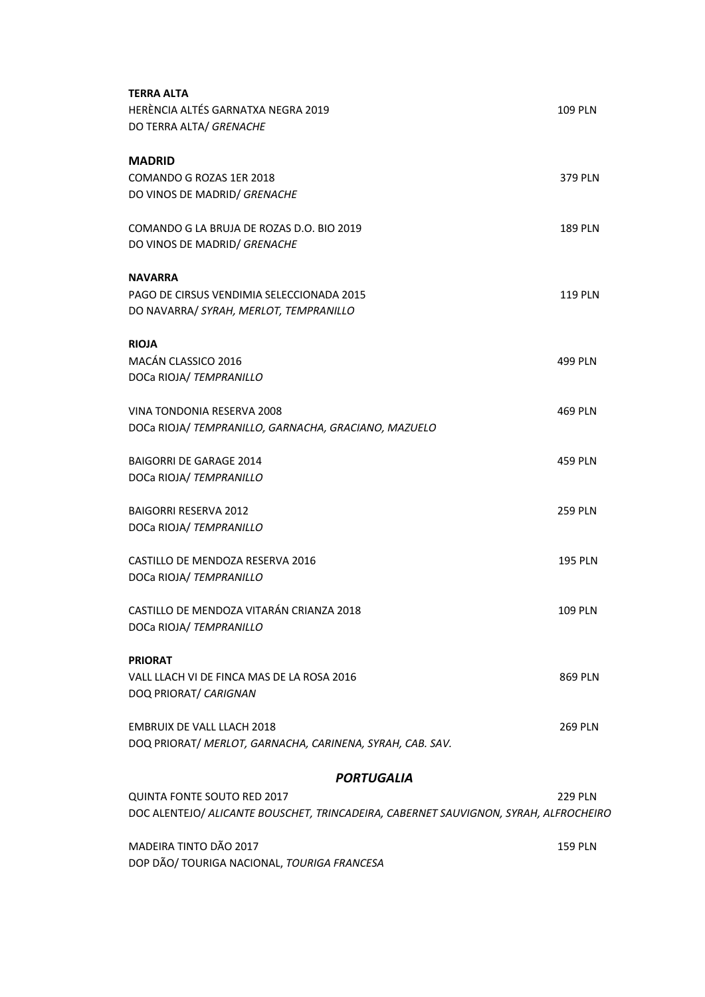| <b>TERRA ALTA</b><br>HERÈNCIA ALTÉS GARNATXA NEGRA 2019<br>DO TERRA ALTA/ GRENACHE                                         | <b>109 PLN</b> |
|----------------------------------------------------------------------------------------------------------------------------|----------------|
| <b>MADRID</b><br>COMANDO G ROZAS 1ER 2018<br>DO VINOS DE MADRID/ GRENACHE                                                  | 379 PLN        |
| COMANDO G LA BRUJA DE ROZAS D.O. BIO 2019<br>DO VINOS DE MADRID/ GRENACHE                                                  | <b>189 PLN</b> |
| <b>NAVARRA</b><br>PAGO DE CIRSUS VENDIMIA SELECCIONADA 2015<br>DO NAVARRA/ SYRAH, MERLOT, TEMPRANILLO                      | <b>119 PLN</b> |
| <b>RIOJA</b><br>MACÁN CLASSICO 2016<br>DOCa RIOJA/ TEMPRANILLO                                                             | 499 PLN        |
| VINA TONDONIA RESERVA 2008<br>DOCa RIOJA/ TEMPRANILLO, GARNACHA, GRACIANO, MAZUELO                                         | 469 PLN        |
| <b>BAIGORRI DE GARAGE 2014</b><br>DOCa RIOJA/ TEMPRANILLO                                                                  | 459 PLN        |
| <b>BAIGORRI RESERVA 2012</b><br>DOCa RIOJA/ TEMPRANILLO                                                                    | <b>259 PLN</b> |
| CASTILLO DE MENDOZA RESERVA 2016<br>DOCa RIOJA/ TEMPRANILLO                                                                | <b>195 PLN</b> |
| CASTILLO DE MENDOZA VITARÁN CRIANZA 2018<br>DOCa RIOJA/ TEMPRANILLO                                                        | 109 PLN        |
| <b>PRIORAT</b><br>VALL LLACH VI DE FINCA MAS DE LA ROSA 2016<br>DOQ PRIORAT/ CARIGNAN                                      | 869 PLN        |
| <b>EMBRUIX DE VALL LLACH 2018</b><br>DOQ PRIORAT/ MERLOT, GARNACHA, CARINENA, SYRAH, CAB. SAV.                             | <b>269 PLN</b> |
| <b>PORTUGALIA</b>                                                                                                          |                |
| <b>QUINTA FONTE SOUTO RED 2017</b><br>DOC ALENTEJO/ ALICANTE BOUSCHET, TRINCADEIRA, CABERNET SAUVIGNON, SYRAH, ALFROCHEIRO | 229 PLN        |

MADEIRA TINTO DÃO 2017 **159 PLN** DOP DÃO/ TOURIGA NACIONAL, *TOURIGA FRANCESA*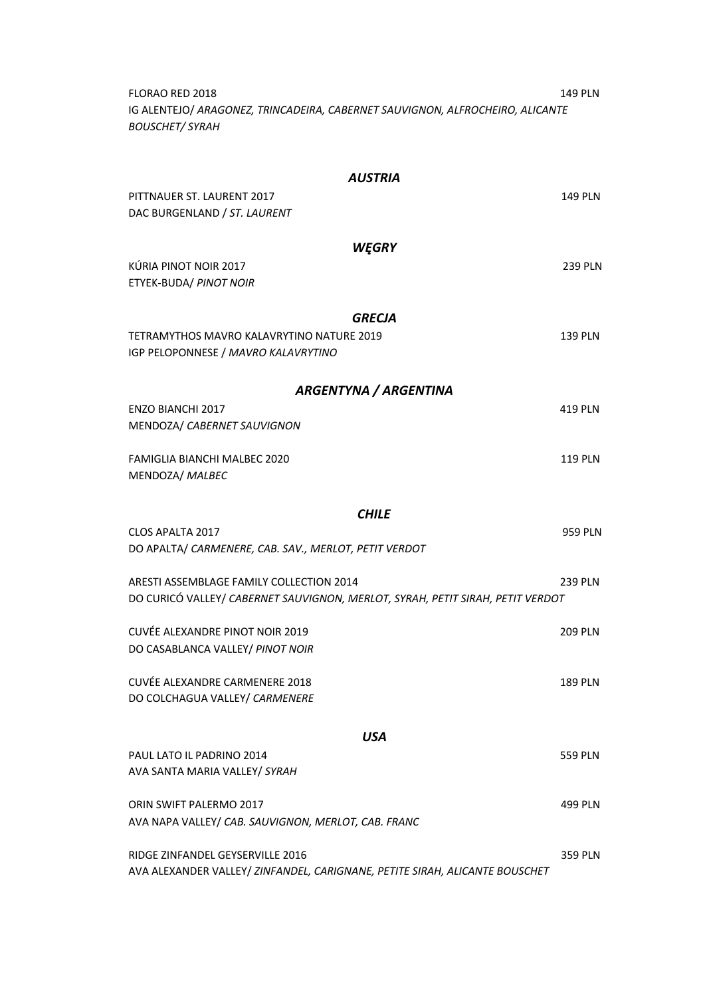FLORAO RED 2018 149 PLN IG ALENTEJO/ *ARAGONEZ, TRINCADEIRA, CABERNET SAUVIGNON, ALFROCHEIRO, ALICANTE BOUSCHET/ SYRAH*

| <b>AUSTRIA</b>                                                                                                  |                |
|-----------------------------------------------------------------------------------------------------------------|----------------|
| PITTNAUER ST. LAURENT 2017<br>DAC BURGENLAND / ST. LAURENT                                                      | <b>149 PLN</b> |
|                                                                                                                 |                |
| WĘGRY                                                                                                           |                |
| KÚRIA PINOT NOIR 2017<br>ETYEK-BUDA/ PINOT NOIR                                                                 | <b>239 PLN</b> |
|                                                                                                                 |                |
| <b>GRECJA</b>                                                                                                   |                |
| TETRAMYTHOS MAVRO KALAVRYTINO NATURE 2019<br>IGP PELOPONNESE / MAVRO KALAVRYTINO                                | <b>139 PLN</b> |
| <b>ARGENTYNA / ARGENTINA</b>                                                                                    |                |
| <b>ENZO BIANCHI 2017</b>                                                                                        | 419 PLN        |
| MENDOZA/ CABERNET SAUVIGNON                                                                                     |                |
| FAMIGLIA BIANCHI MALBEC 2020                                                                                    | <b>119 PLN</b> |
| MENDOZA/ MALBEC                                                                                                 |                |
|                                                                                                                 |                |
| <b>CHILE</b>                                                                                                    |                |
| CLOS APALTA 2017<br>DO APALTA/ CARMENERE, CAB. SAV., MERLOT, PETIT VERDOT                                       | <b>959 PLN</b> |
|                                                                                                                 |                |
| ARESTI ASSEMBLAGE FAMILY COLLECTION 2014                                                                        | <b>239 PLN</b> |
| DO CURICÓ VALLEY/ CABERNET SAUVIGNON, MERLOT, SYRAH, PETIT SIRAH, PETIT VERDOT                                  |                |
| CUVÉE ALEXANDRE PINOT NOIR 2019                                                                                 | <b>209 PLN</b> |
| DO CASABLANCA VALLEY/ PINOT NOIR                                                                                |                |
|                                                                                                                 |                |
| CUVÉE ALEXANDRE CARMENERE 2018<br>DO COLCHAGUA VALLEY/ CARMENERE                                                | 189 PLN        |
|                                                                                                                 |                |
| USA                                                                                                             |                |
| PAUL LATO IL PADRINO 2014                                                                                       | 559 PLN        |
| AVA SANTA MARIA VALLEY/ SYRAH                                                                                   |                |
| ORIN SWIFT PALERMO 2017                                                                                         | 499 PLN        |
| AVA NAPA VALLEY/ CAB. SAUVIGNON, MERLOT, CAB. FRANC                                                             |                |
|                                                                                                                 |                |
| RIDGE ZINFANDEL GEYSERVILLE 2016<br>AVA ALEXANDER VALLEY/ ZINFANDEL, CARIGNANE, PETITE SIRAH, ALICANTE BOUSCHET | 359 PLN        |
|                                                                                                                 |                |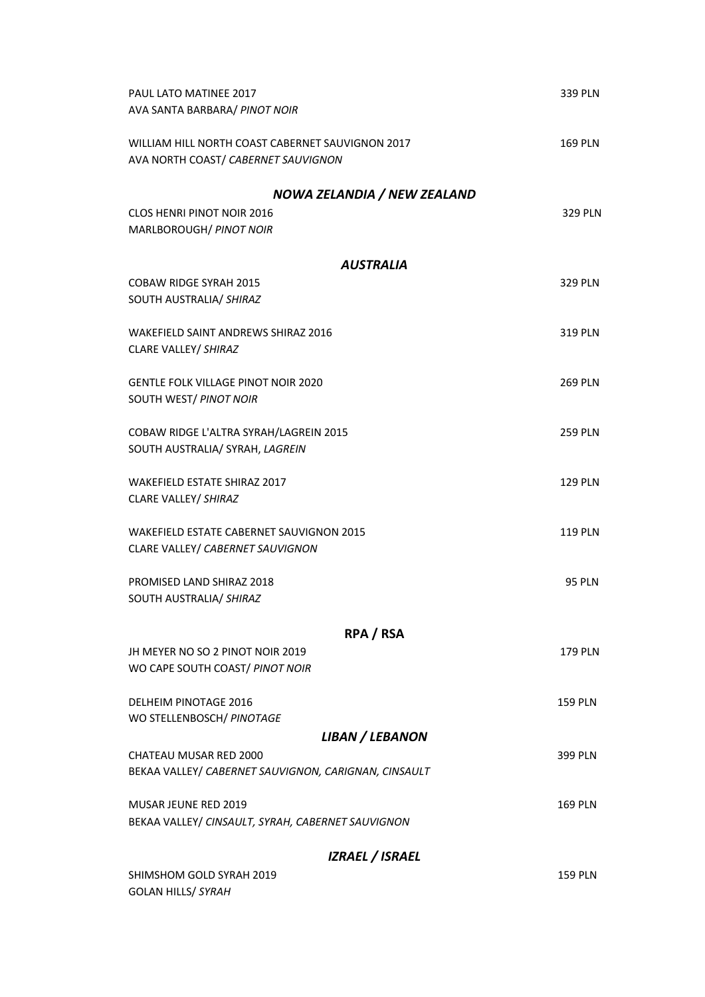| PAUL LATO MATINEE 2017<br>AVA SANTA BARBARA/ PINOT NOIR                                 | 339 PLN        |
|-----------------------------------------------------------------------------------------|----------------|
| WILLIAM HILL NORTH COAST CABERNET SAUVIGNON 2017<br>AVA NORTH COAST/ CABERNET SAUVIGNON | <b>169 PLN</b> |
| NOWA ZELANDIA / NEW ZEALAND                                                             |                |
| <b>CLOS HENRI PINOT NOIR 2016</b><br>MARLBOROUGH/ PINOT NOIR                            | <b>329 PLN</b> |
| <b>AUSTRALIA</b>                                                                        |                |
| <b>COBAW RIDGE SYRAH 2015</b><br>SOUTH AUSTRALIA/ SHIRAZ                                | 329 PLN        |
| WAKEFIELD SAINT ANDREWS SHIRAZ 2016<br>CLARE VALLEY/ SHIRAZ                             | 319 PLN        |
| <b>GENTLE FOLK VILLAGE PINOT NOIR 2020</b><br>SOUTH WEST/ PINOT NOIR                    | <b>269 PLN</b> |
| COBAW RIDGE L'ALTRA SYRAH/LAGREIN 2015<br>SOUTH AUSTRALIA/ SYRAH, LAGREIN               | <b>259 PLN</b> |
| <b>WAKEFIELD ESTATE SHIRAZ 2017</b><br>CLARE VALLEY/ SHIRAZ                             | <b>129 PLN</b> |
| <b>WAKEFIELD ESTATE CABERNET SAUVIGNON 2015</b><br>CLARE VALLEY/ CABERNET SAUVIGNON     | <b>119 PLN</b> |
| PROMISED LAND SHIRAZ 2018<br>SOUTH AUSTRALIA/ SHIRAZ                                    | <b>95 PLN</b>  |
| RPA / RSA                                                                               |                |
| JH MEYER NO SO 2 PINOT NOIR 2019<br>WO CAPE SOUTH COAST/ PINOT NOIR                     | <b>179 PLN</b> |
| DELHEIM PINOTAGE 2016<br>WO STELLENBOSCH/ PINOTAGE                                      | <b>159 PLN</b> |
| LIBAN / LEBANON<br><b>CHATEAU MUSAR RED 2000</b>                                        |                |
| BEKAA VALLEY/ CABERNET SAUVIGNON, CARIGNAN, CINSAULT                                    | 399 PLN        |
| MUSAR JEUNE RED 2019<br>BEKAA VALLEY/ CINSAULT, SYRAH, CABERNET SAUVIGNON               | <b>169 PLN</b> |
| <b>IZRAEL / ISRAEL</b>                                                                  |                |
| SHIMSHOM GOLD SYRAH 2019<br><b>GOLAN HILLS/ SYRAH</b>                                   | <b>159 PLN</b> |